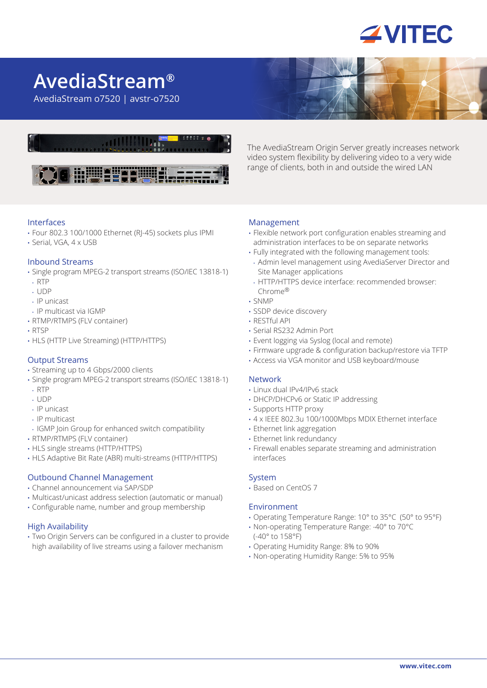

# **AvediaStream®**

AvediaStream o7520 | avstr-o7520



Interfaces

- Four 802.3 100/1000 Ethernet (RJ-45) sockets plus IPMI
- Serial, VGA, 4 x USB

#### Inbound Streams

- Single program MPEG-2 transport streams (ISO/IEC 13818-1) • RTP
- UDP
- IP unicast
- IP multicast via IGMP
- RTMP/RTMPS (FLV container)
- RTSP
- HLS (HTTP Live Streaming) (HTTP/HTTPS)

#### Output Streams

- Streaming up to 4 Gbps/2000 clients
- Single program MPEG-2 transport streams (ISO/IEC 13818-1)
- RTP
- UDP
- IP unicast
- IP multicast
- IGMP Join Group for enhanced switch compatibility
- RTMP/RTMPS (FLV container)
- HLS single streams (HTTP/HTTPS)
- HLS Adaptive Bit Rate (ABR) multi-streams (HTTP/HTTPS)

# Outbound Channel Management

- Channel announcement via SAP/SDP
- Multicast/unicast address selection (automatic or manual)
- Configurable name, number and group membership

#### High Availability

• Two Origin Servers can be configured in a cluster to provide high availability of live streams using a failover mechanism

The AvediaStream Origin Server greatly increases network video system flexibility by delivering video to a very wide range of clients, both in and outside the wired LAN

#### Management

- Flexible network port configuration enables streaming and administration interfaces to be on separate networks
- Fully integrated with the following management tools:
	- Admin level management using AvediaServer Director and Site Manager applications
	- HTTP/HTTPS device interface: recommended browser: Chrome®
- SNMP
- SSDP device discovery
- RESTful API
- Serial RS232 Admin Port
- Event logging via Syslog (local and remote)
- Firmware upgrade & configuration backup/restore via TFTP
- Access via VGA monitor and USB keyboard/mouse

## Network

- Linux dual IPv4/IPv6 stack
- DHCP/DHCPv6 or Static IP addressing
- Supports HTTP proxy
- 4 x IEEE 802.3u 100/1000Mbps MDIX Ethernet interface
- Ethernet link aggregation
- Ethernet link redundancy
- Firewall enables separate streaming and administration interfaces

#### System

• Based on CentOS 7

#### Environment

- Operating Temperature Range: 10° to 35°C (50° to 95°F)
- Non-operating Temperature Range: -40° to 70°C (-40° to 158°F)
- Operating Humidity Range: 8% to 90%
- Non-operating Humidity Range: 5% to 95%